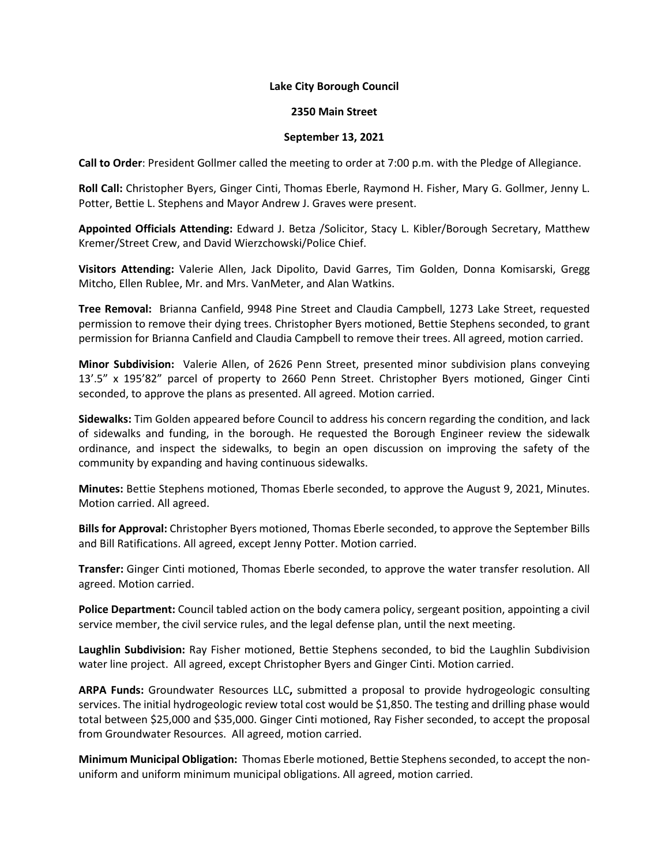## **Lake City Borough Council**

## **2350 Main Street**

## **September 13, 2021**

**Call to Order**: President Gollmer called the meeting to order at 7:00 p.m. with the Pledge of Allegiance.

**Roll Call:** Christopher Byers, Ginger Cinti, Thomas Eberle, Raymond H. Fisher, Mary G. Gollmer, Jenny L. Potter, Bettie L. Stephens and Mayor Andrew J. Graves were present.

**Appointed Officials Attending:** Edward J. Betza /Solicitor, Stacy L. Kibler/Borough Secretary, Matthew Kremer/Street Crew, and David Wierzchowski/Police Chief.

**Visitors Attending:** Valerie Allen, Jack Dipolito, David Garres, Tim Golden, Donna Komisarski, Gregg Mitcho, Ellen Rublee, Mr. and Mrs. VanMeter, and Alan Watkins.

**Tree Removal:** Brianna Canfield, 9948 Pine Street and Claudia Campbell, 1273 Lake Street, requested permission to remove their dying trees. Christopher Byers motioned, Bettie Stephens seconded, to grant permission for Brianna Canfield and Claudia Campbell to remove their trees. All agreed, motion carried.

**Minor Subdivision:** Valerie Allen, of 2626 Penn Street, presented minor subdivision plans conveying 13'.5" x 195'82" parcel of property to 2660 Penn Street. Christopher Byers motioned, Ginger Cinti seconded, to approve the plans as presented. All agreed. Motion carried.

**Sidewalks:** Tim Golden appeared before Council to address his concern regarding the condition, and lack of sidewalks and funding, in the borough. He requested the Borough Engineer review the sidewalk ordinance, and inspect the sidewalks, to begin an open discussion on improving the safety of the community by expanding and having continuous sidewalks.

**Minutes:** Bettie Stephens motioned, Thomas Eberle seconded, to approve the August 9, 2021, Minutes. Motion carried. All agreed.

**Bills for Approval:** Christopher Byers motioned, Thomas Eberle seconded, to approve the September Bills and Bill Ratifications. All agreed, except Jenny Potter. Motion carried.

**Transfer:** Ginger Cinti motioned, Thomas Eberle seconded, to approve the water transfer resolution. All agreed. Motion carried.

**Police Department:** Council tabled action on the body camera policy, sergeant position, appointing a civil service member, the civil service rules, and the legal defense plan, until the next meeting.

**Laughlin Subdivision:** Ray Fisher motioned, Bettie Stephens seconded, to bid the Laughlin Subdivision water line project.All agreed, except Christopher Byers and Ginger Cinti. Motion carried.

**ARPA Funds:** Groundwater Resources LLC**,** submitted a proposal to provide hydrogeologic consulting services. The initial hydrogeologic review total cost would be \$1,850. The testing and drilling phase would total between \$25,000 and \$35,000. Ginger Cinti motioned, Ray Fisher seconded, to accept the proposal from Groundwater Resources. All agreed, motion carried.

**Minimum Municipal Obligation:** Thomas Eberle motioned, Bettie Stephens seconded, to accept the nonuniform and uniform minimum municipal obligations. All agreed, motion carried.